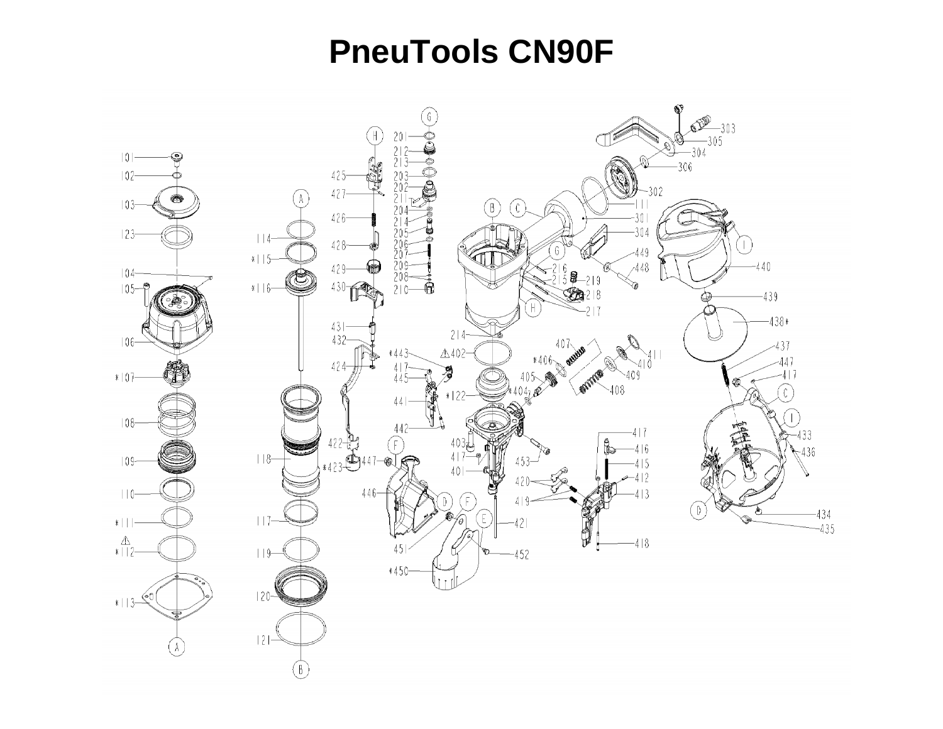## **PneuTools CN90F**